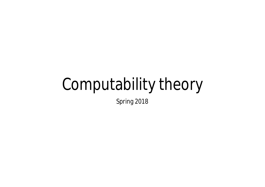# Computability theory

Spring 2018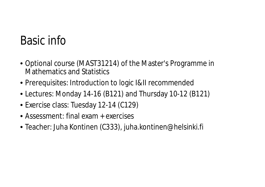## Basic info

- Optional course (MAST31214) of the Master's Programme in Mathematics and Statistics
- Prerequisites: Introduction to logic I&II recommended
- Lectures: Monday 14-16 (B121) and Thursday 10-12 (B121)
- Exercise class: Tuesday 12-14 (C129)
- Assessment: final exam + exercises
- Teacher: Juha Kontinen (C333), juha.kontinen@helsinki.fi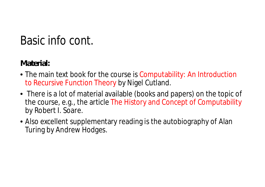## Basic info cont.

**Material:**

- The main text book for the course is Computability: An Introduction to Recursive Function Theory by Nigel Cutland.
- There is a lot of material available (books and papers) on the topic of the course, e.g., the article The History and Concept of Computability by Robert I. Soare.
- Also excellent supplementary reading is the autobiography of Alan Turing by Andrew Hodges.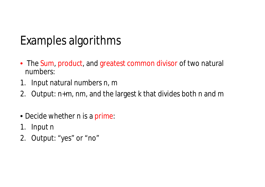## Examples algorithms

- The Sum, product, and greatest common divisor of two natural numbers:
- 1. Input natural numbers n, m
- 2. Output: n+m, nm, and the largest k that divides both n and m
- Decide whether n is a prime:
- 1. Input n
- 2. Output: "yes" or "no"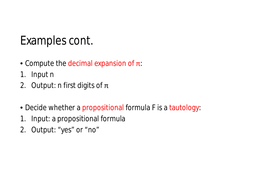#### Examples cont.

- Compute the decimal expansion of  $\pi$ :
- 1. Input n
- 2. Output: n first digits of  $\pi$
- Decide whether a propositional formula F is a tautology:
- 1. Input: a propositional formula
- 2. Output: "yes" or "no"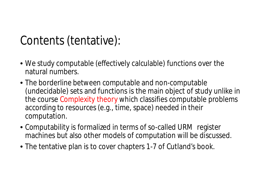## Contents (tentative):

- We study computable (effectively calculable) functions over the natural numbers.
- The borderline between computable and non-computable (undecidable) sets and functions is the main object of study unlike in the course Complexity theory which classifies computable problems according to resources (e.g., time, space) needed in their computation.
- Computability is formalized in terms of so-called URM register machines but also other models of computation will be discussed.
- The tentative plan is to cover chapters 1-7 of Cutland's book.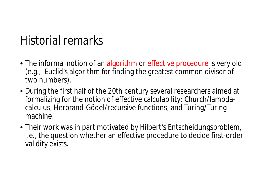#### Historial remarks

- The informal notion of an algorithm or effective procedure is very old (e.g., Euclid's algorithm for finding the greatest common divisor of two numbers).
- During the first half of the 20th century several researchers aimed at formalizing for the notion of effective calculability: Church/lambdacalculus, Herbrand-Gödel/recursive functions, and Turing/Turing machine.
- Their work was in part motivated by Hilbert's Entscheidungsproblem, i.e., the question whether an effective procedure to decide first-order validity exists.